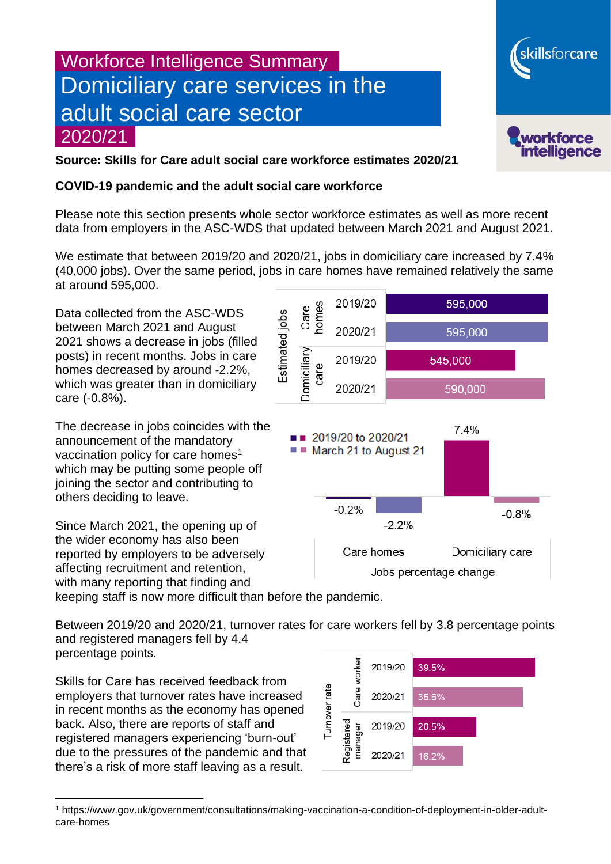# Workforce Intelligence Summary Domiciliary care services in the adult social care sector 2020/21



skillsforcare

### **Source: Skills for Care adult social care workforce estimates 2020/21**

#### **COVID-19 pandemic and the adult social care workforce**

Please note this section presents whole sector workforce estimates as well as more recent data from employers in the ASC-WDS that updated between March 2021 and August 2021.

We estimate that between 2019/20 and 2020/21, jobs in domiciliary care increased by 7.4% (40,000 jobs). Over the same period, jobs in care homes have remained relatively the same at around 595,000.

Data collected from the ASC-WDS between March 2021 and August 2021 shows a decrease in jobs (filled posts) in recent months. Jobs in care homes decreased by around -2.2%, which was greater than in domiciliary care (-0.8%).

The decrease in jobs coincides with the announcement of the mandatory vaccination policy for care homes<sup>1</sup> which may be putting some people off joining the sector and contributing to others deciding to leave.

Since March 2021, the opening up of the wider economy has also been reported by employers to be adversely affecting recruitment and retention, with many reporting that finding and keeping staff is now more difficult than before the pandemic.



Between 2019/20 and 2020/21, turnover rates for care workers fell by 3.8 percentage points and registered managers fell by 4.4 percentage points.

Skills for Care has received feedback from employers that turnover rates have increased in recent months as the economy has opened back. Also, there are reports of staff and registered managers experiencing 'burn-out' due to the pressures of the pandemic and that there's a risk of more staff leaving as a result.



<sup>1</sup> https://www.gov.uk/government/consultations/making-vaccination-a-condition-of-deployment-in-older-adultcare-homes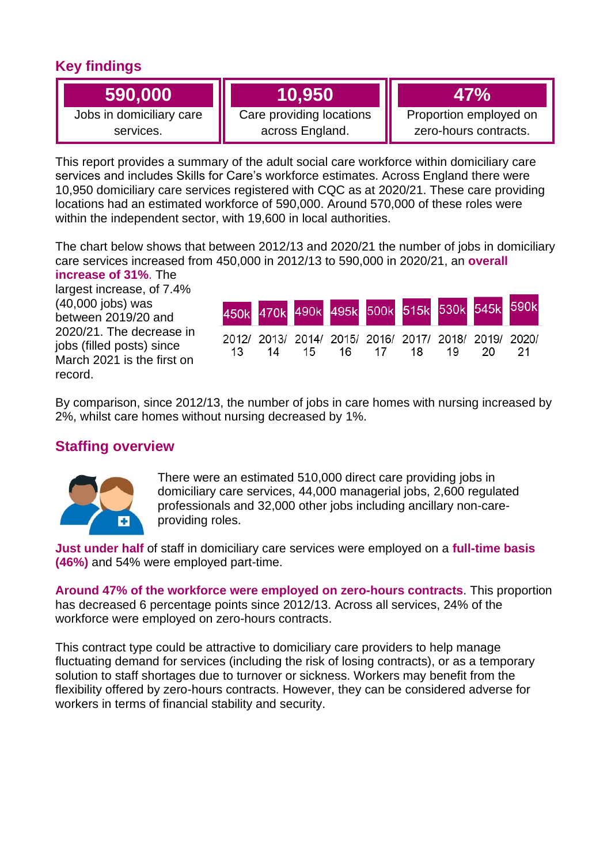# **Key findings**

**590,000**

Jobs in domiciliary care services.

# **10,950**

Care providing locations across England.

**47%**

Proportion employed on zero-hours contracts.

This report provides a summary of the adult social care workforce within domiciliary care services and includes Skills for Care's workforce estimates. Across England there were 10,950 domiciliary care services registered with CQC as at 2020/21. These care providing locations had an estimated workforce of 590,000. Around 570,000 of these roles were within the independent sector, with 19,600 in local authorities.

The chart below shows that between 2012/13 and 2020/21 the number of jobs in domiciliary care services increased from 450,000 in 2012/13 to 590,000 in 2020/21, an **overall increase of 31%**. The

largest increase, of 7.4% (40,000 jobs) was between 2019/20 and 2020/21. The decrease in jobs (filled posts) since March 2021 is the first on record.

|  |                                                                                     |  |  | 450k 470k 490k 495k 500k 515k 530k 545k 590k |
|--|-------------------------------------------------------------------------------------|--|--|----------------------------------------------|
|  | 2012/ 2013/ 2014/ 2015/ 2016/ 2017/ 2018/ 2019/ 2020/<br>13 14 15 16 17 18 19 20 21 |  |  |                                              |

By comparison, since 2012/13, the number of jobs in care homes with nursing increased by 2%, whilst care homes without nursing decreased by 1%.

## **Staffing overview**



There were an estimated 510,000 direct care providing jobs in domiciliary care services, 44,000 managerial jobs, 2,600 regulated professionals and 32,000 other jobs including ancillary non-careproviding roles.

**Just under half** of staff in domiciliary care services were employed on a **full-time basis (46%)** and 54% were employed part-time.

**Around 47% of the workforce were employed on zero-hours contracts**. This proportion has decreased 6 percentage points since 2012/13. Across all services, 24% of the workforce were employed on zero-hours contracts.

This contract type could be attractive to domiciliary care providers to help manage fluctuating demand for services (including the risk of losing contracts), or as a temporary solution to staff shortages due to turnover or sickness. Workers may benefit from the flexibility offered by zero-hours contracts. However, they can be considered adverse for workers in terms of financial stability and security.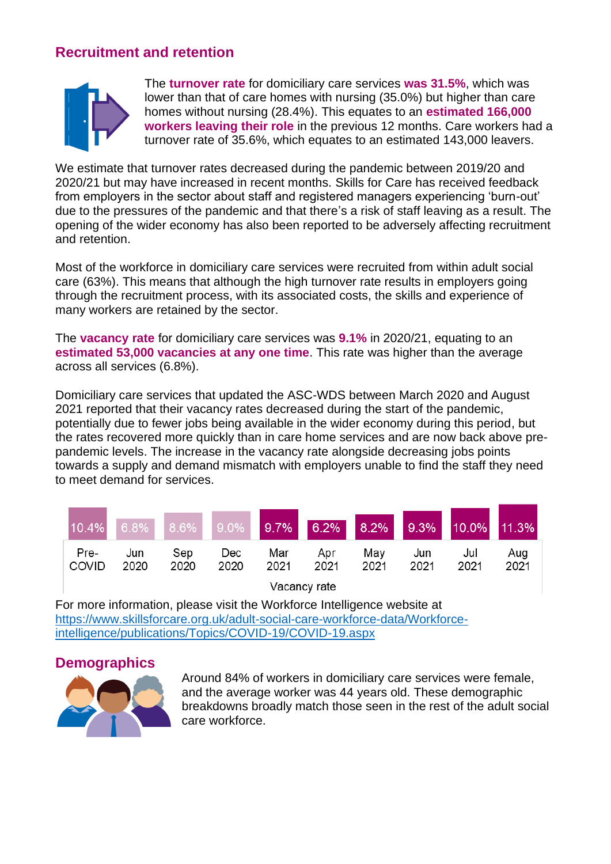# **Recruitment and retention**



The **turnover rate** for domiciliary care services **was 31.5%**, which was lower than that of care homes with nursing (35.0%) but higher than care homes without nursing (28.4%). This equates to an **estimated 166,000 workers leaving their role** in the previous 12 months. Care workers had a turnover rate of 35.6%, which equates to an estimated 143,000 leavers.

We estimate that turnover rates decreased during the pandemic between 2019/20 and 2020/21 but may have increased in recent months. Skills for Care has received feedback from employers in the sector about staff and registered managers experiencing 'burn-out' due to the pressures of the pandemic and that there's a risk of staff leaving as a result. The opening of the wider economy has also been reported to be adversely affecting recruitment and retention.

Most of the workforce in domiciliary care services were recruited from within adult social care (63%). This means that although the high turnover rate results in employers going through the recruitment process, with its associated costs, the skills and experience of many workers are retained by the sector.

The **vacancy rate** for domiciliary care services was **9.1%** in 2020/21, equating to an **estimated 53,000 vacancies at any one time**. This rate was higher than the average across all services (6.8%).

Domiciliary care services that updated the ASC-WDS between March 2020 and August 2021 reported that their vacancy rates decreased during the start of the pandemic, potentially due to fewer jobs being available in the wider economy during this period, but the rates recovered more quickly than in care home services and are now back above prepandemic levels. The increase in the vacancy rate alongside decreasing jobs points towards a supply and demand mismatch with employers unable to find the staff they need to meet demand for services.

|                     |             |             |             |             |             |             |             | 10.4% 6.8% 8.6% 9.0% 9.7% 6.2% 8.2% 9.3% 10.0% 11.3% |             |
|---------------------|-------------|-------------|-------------|-------------|-------------|-------------|-------------|------------------------------------------------------|-------------|
| Pre-<br>⊟COVID      | Jun<br>2020 | Sep<br>2020 | Dec<br>2020 | Mar<br>2021 | Apr<br>2021 | May<br>2021 | Jun<br>2021 | Jul<br>2021                                          | Aug<br>2021 |
| $11 - 22 - 32 - 32$ |             |             |             |             |             |             |             |                                                      |             |

Vacancy rate

For more information, please visit the Workforce Intelligence website at [https://www.skillsforcare.org.uk/adult-social-care-workforce-data/Workforce](https://www.skillsforcare.org.uk/adult-social-care-workforce-data/Workforce-intelligence/publications/Topics/COVID-19/COVID-19.aspx)[intelligence/publications/Topics/COVID-19/COVID-19.aspx](https://www.skillsforcare.org.uk/adult-social-care-workforce-data/Workforce-intelligence/publications/Topics/COVID-19/COVID-19.aspx)

### **Demographics**



Around 84% of workers in domiciliary care services were female, and the average worker was 44 years old. These demographic breakdowns broadly match those seen in the rest of the adult social care workforce.